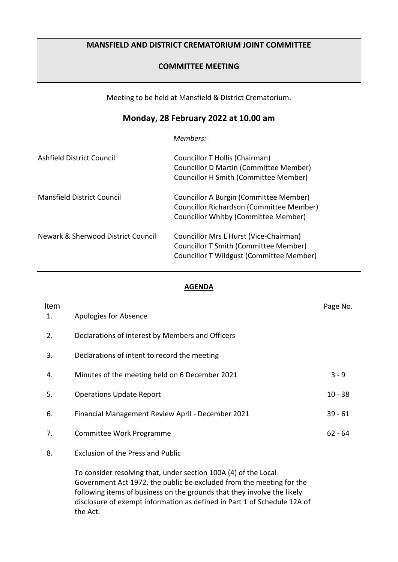## **MANSFIELD AND DISTRICT CREMATORIUM JOINT COMMITTEE**

## **COMMITTEE MEETING**

Meeting to be held at Mansfield & District Crematorium.

## **Monday, 28 February 2022 at 10.00 am**

*Members:-*

| Ashfield District Council          | Councillor T Hollis (Chairman)<br><b>Councillor D Martin (Committee Member)</b><br>Councillor H Smith (Committee Member)    |
|------------------------------------|-----------------------------------------------------------------------------------------------------------------------------|
| Mansfield District Council         | Councillor A Burgin (Committee Member)<br>Councillor Richardson (Committee Member)<br>Councillor Whitby (Committee Member)  |
| Newark & Sherwood District Council | Councillor Mrs L Hurst (Vice-Chairman)<br>Councillor T Smith (Committee Member)<br>Councillor T Wildgust (Committee Member) |

## **AGENDA**

| Item<br>1. | Apologies for Absence                                           | Page No.  |
|------------|-----------------------------------------------------------------|-----------|
| 2.         | Declarations of interest by Members and Officers                |           |
| 3.         | Declarations of intent to record the meeting                    |           |
| 4.         | Minutes of the meeting held on 6 December 2021                  | $3 - 9$   |
| 5.         | <b>Operations Update Report</b>                                 | $10 - 38$ |
| 6.         | Financial Management Review April - December 2021               | $39 - 61$ |
| 7.         | Committee Work Programme                                        | $62 - 64$ |
| 8.         | <b>Exclusion of the Press and Public</b>                        |           |
|            | To consider resolving that, under section 100A (4) of the Local |           |

Government Act 1972, the public be excluded from the meeting for the following items of business on the grounds that they involve the likely disclosure of exempt information as defined in Part 1 of Schedule 12A of the Act.